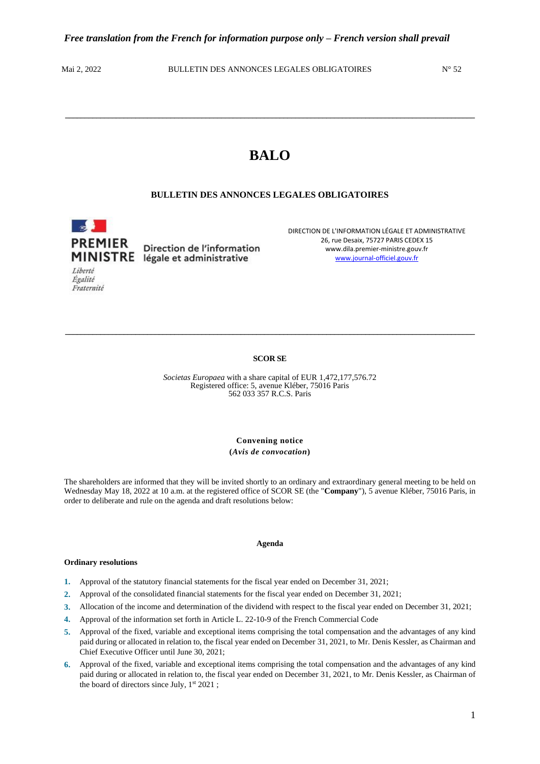Égalité Fraternité

Mai 2, 2022 BULLETIN DES ANNONCES LEGALES OBLIGATOIRES N° 52

# **BALO**

**\_\_\_\_\_\_\_\_\_\_\_\_\_\_\_\_\_\_\_\_\_\_\_\_\_\_\_\_\_\_\_\_\_\_\_\_\_\_\_\_\_\_\_\_\_\_\_\_\_\_\_\_\_\_\_\_\_\_\_\_\_\_\_\_\_\_\_\_\_\_\_\_\_\_\_\_\_\_\_\_\_\_\_\_\_\_\_\_\_\_\_\_\_\_\_\_\_\_\_\_\_\_\_\_\_**

# **BULLETIN DES ANNONCES LEGALES OBLIGATOIRES**

 $\sim$ **PREMIER** Direction de l'information MINISTRE légale et administrative Liberté

DIRECTION DE L'INFORMATION LÉGALE ET ADMINISTRATIVE 26, rue Desaix, 75727 PARIS CEDEX 15 www.dila.premier-ministre.gouv.fr [www.journal-officiel.gouv.fr](http://www.journal-officiel.gouv.fr/)

## **SCOR SE**

**\_\_\_\_\_\_\_\_\_\_\_\_\_\_\_\_\_\_\_\_\_\_\_\_\_\_\_\_\_\_\_\_\_\_\_\_\_\_\_\_\_\_\_\_\_\_\_\_\_\_\_\_\_\_\_\_\_\_\_\_\_\_\_\_\_\_\_\_\_\_\_\_\_\_\_\_\_\_\_\_\_\_\_\_\_\_\_\_\_\_\_\_\_\_\_\_\_\_\_\_\_\_\_\_\_**

*Societas Europaea* with a share capital of EUR 1,472,177,576.72 Registered office: 5, avenue Kléber, 75016 Paris 562 033 357 R.C.S. Paris

> **Convening notice (***Avis de convocation***)**

The shareholders are informed that they will be invited shortly to an ordinary and extraordinary general meeting to be held on Wednesday May 18, 2022 at 10 a.m. at the registered office of SCOR SE (the "**Company**"), 5 avenue Kléber, 75016 Paris, in order to deliberate and rule on the agenda and draft resolutions below:

#### **Agenda**

#### **Ordinary resolutions**

- **1.** Approval of the statutory financial statements for the fiscal year ended on December 31, 2021;
- **2.** Approval of the consolidated financial statements for the fiscal year ended on December 31, 2021;
- **3.** Allocation of the income and determination of the dividend with respect to the fiscal year ended on December 31, 2021;
- **4.** Approval of the information set forth in Article L. 22-10-9 of the French Commercial Code
- **5.** Approval of the fixed, variable and exceptional items comprising the total compensation and the advantages of any kind paid during or allocated in relation to, the fiscal year ended on December 31, 2021, to Mr. Denis Kessler, as Chairman and Chief Executive Officer until June 30, 2021;
- **6.** Approval of the fixed, variable and exceptional items comprising the total compensation and the advantages of any kind paid during or allocated in relation to, the fiscal year ended on December 31, 2021, to Mr. Denis Kessler, as Chairman of the board of directors since July, 1st 2021;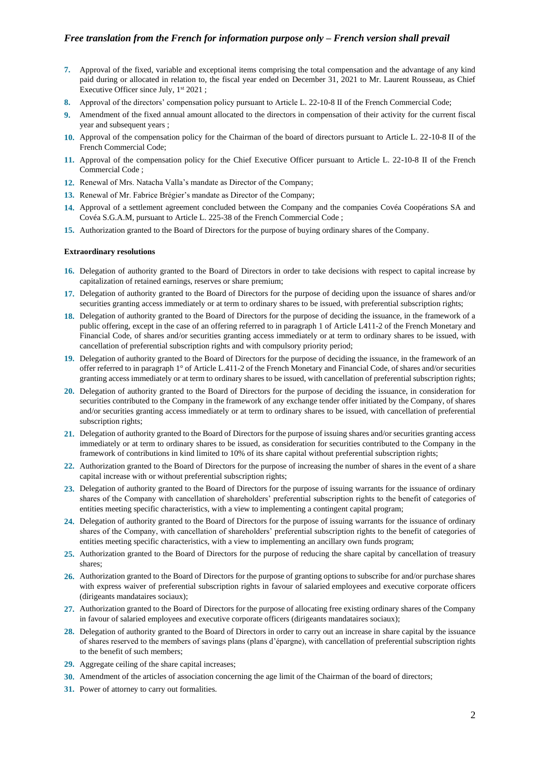- **7.** Approval of the fixed, variable and exceptional items comprising the total compensation and the advantage of any kind paid during or allocated in relation to, the fiscal year ended on December 31, 2021 to Mr. Laurent Rousseau, as Chief Executive Officer since July, 1<sup>st</sup> 2021;
- **8.** Approval of the directors' compensation policy pursuant to Article L. 22-10-8 II of the French Commercial Code;
- **9.** Amendment of the fixed annual amount allocated to the directors in compensation of their activity for the current fiscal year and subsequent years ;
- **10.** Approval of the compensation policy for the Chairman of the board of directors pursuant to Article L. 22-10-8 II of the French Commercial Code;
- **11.** Approval of the compensation policy for the Chief Executive Officer pursuant to Article L. 22-10-8 II of the French Commercial Code ;
- **12.** Renewal of Mrs. Natacha Valla's mandate as Director of the Company;
- **13.** Renewal of Mr. Fabrice Brégier's mandate as Director of the Company;
- **14.** Approval of a settlement agreement concluded between the Company and the companies Covéa Coopérations SA and Covéa S.G.A.M, pursuant to Article L. 225-38 of the French Commercial Code ;
- **15.** Authorization granted to the Board of Directors for the purpose of buying ordinary shares of the Company.

## **Extraordinary resolutions**

- **16.** Delegation of authority granted to the Board of Directors in order to take decisions with respect to capital increase by capitalization of retained earnings, reserves or share premium;
- **17.** Delegation of authority granted to the Board of Directors for the purpose of deciding upon the issuance of shares and/or securities granting access immediately or at term to ordinary shares to be issued, with preferential subscription rights;
- **18.** Delegation of authority granted to the Board of Directors for the purpose of deciding the issuance, in the framework of a public offering, except in the case of an offering referred to in paragraph 1 of Article L411-2 of the French Monetary and Financial Code, of shares and/or securities granting access immediately or at term to ordinary shares to be issued, with cancellation of preferential subscription rights and with compulsory priority period;
- **19.** Delegation of authority granted to the Board of Directors for the purpose of deciding the issuance, in the framework of an offer referred to in paragraph 1° of Article L.411-2 of the French Monetary and Financial Code, of shares and/or securities granting access immediately or at term to ordinary shares to be issued, with cancellation of preferential subscription rights;
- **20.** Delegation of authority granted to the Board of Directors for the purpose of deciding the issuance, in consideration for securities contributed to the Company in the framework of any exchange tender offer initiated by the Company, of shares and/or securities granting access immediately or at term to ordinary shares to be issued, with cancellation of preferential subscription rights;
- **21.** Delegation of authority granted to the Board of Directors for the purpose of issuing shares and/or securities granting access immediately or at term to ordinary shares to be issued, as consideration for securities contributed to the Company in the framework of contributions in kind limited to 10% of its share capital without preferential subscription rights;
- **22.** Authorization granted to the Board of Directors for the purpose of increasing the number of shares in the event of a share capital increase with or without preferential subscription rights;
- **23.** Delegation of authority granted to the Board of Directors for the purpose of issuing warrants for the issuance of ordinary shares of the Company with cancellation of shareholders' preferential subscription rights to the benefit of categories of entities meeting specific characteristics, with a view to implementing a contingent capital program;
- **24.** Delegation of authority granted to the Board of Directors for the purpose of issuing warrants for the issuance of ordinary shares of the Company, with cancellation of shareholders' preferential subscription rights to the benefit of categories of entities meeting specific characteristics, with a view to implementing an ancillary own funds program;
- **25.** Authorization granted to the Board of Directors for the purpose of reducing the share capital by cancellation of treasury shares;
- **26.** Authorization granted to the Board of Directors for the purpose of granting options to subscribe for and/or purchase shares with express waiver of preferential subscription rights in favour of salaried employees and executive corporate officers (dirigeants mandataires sociaux);
- **27.** Authorization granted to the Board of Directors for the purpose of allocating free existing ordinary shares of the Company in favour of salaried employees and executive corporate officers (dirigeants mandataires sociaux);
- **28.** Delegation of authority granted to the Board of Directors in order to carry out an increase in share capital by the issuance of shares reserved to the members of savings plans (plans d'épargne), with cancellation of preferential subscription rights to the benefit of such members;
- **29.** Aggregate ceiling of the share capital increases;
- **30.** Amendment of the articles of association concerning the age limit of the Chairman of the board of directors;
- **31.** Power of attorney to carry out formalities.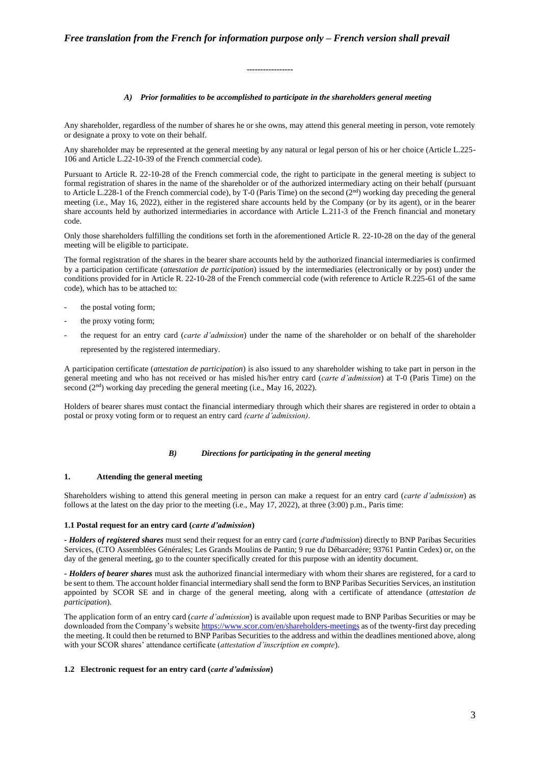# *A) Prior formalities to be accomplished to participate in the shareholders general meeting*

Any shareholder, regardless of the number of shares he or she owns, may attend this general meeting in person, vote remotely or designate a proxy to vote on their behalf.

**-----------------**

Any shareholder may be represented at the general meeting by any natural or legal person of his or her choice (Article L.225- 106 and Article L.22-10-39 of the French commercial code).

Pursuant to Article R. 22-10-28 of the French commercial code, the right to participate in the general meeting is subject to formal registration of shares in the name of the shareholder or of the authorized intermediary acting on their behalf (pursuant to Article L.228-1 of the French commercial code), by T-0 (Paris Time) on the second  $(2<sup>nd</sup>)$  working day preceding the general meeting (i.e., May 16, 2022), either in the registered share accounts held by the Company (or by its agent), or in the bearer share accounts held by authorized intermediaries in accordance with Article L.211-3 of the French financial and monetary code.

Only those shareholders fulfilling the conditions set forth in the aforementioned Article R. 22-10-28 on the day of the general meeting will be eligible to participate.

The formal registration of the shares in the bearer share accounts held by the authorized financial intermediaries is confirmed by a participation certificate (*attestation de participation*) issued by the intermediaries (electronically or by post) under the conditions provided for in Article R. 22-10-28 of the French commercial code (with reference to Article R.225-61 of the same code), which has to be attached to:

- the postal voting form;
- the proxy voting form;
- the request for an entry card (*carte d'admission*) under the name of the shareholder or on behalf of the shareholder represented by the registered intermediary.

A participation certificate (*attestation de participation*) is also issued to any shareholder wishing to take part in person in the general meeting and who has not received or has misled his/her entry card (*carte d'admission*) at T-0 (Paris Time) on the second (2<sup>nd</sup>) working day preceding the general meeting (i.e., May 16, 2022).

Holders of bearer shares must contact the financial intermediary through which their shares are registered in order to obtain a postal or proxy voting form or to request an entry card *(carte d'admission)*.

## *B) Directions for participating in the general meeting*

# **1. Attending the general meeting**

Shareholders wishing to attend this general meeting in person can make a request for an entry card (*carte d'admission*) as follows at the latest on the day prior to the meeting (i.e., May 17, 2022), at three (3:00) p.m., Paris time:

# **1.1 Postal request for an entry card (***carte d'admission***)**

**-** *Holders of registered shares* must send their request for an entry card (*carte d'admission*) directly to BNP Paribas Securities Services, (CTO Assemblées Générales; Les Grands Moulins de Pantin; 9 rue du Débarcadère; 93761 Pantin Cedex) or, on the day of the general meeting, go to the counter specifically created for this purpose with an identity document.

**-** *Holders of bearer shares* must ask the authorized financial intermediary with whom their shares are registered, for a card to be sent to them. The account holder financial intermediary shall send the form to BNP Paribas Securities Services, an institution appointed by SCOR SE and in charge of the general meeting, along with a certificate of attendance (*attestation de participation*).

The application form of an entry card (*carte d'admission*) is available upon request made to BNP Paribas Securities or may be downloaded from the Company's websit[e https://www.scor.com/en/shareholders-meetings](https://www.scor.com/en/shareholders-meetings) as of the twenty-first day preceding the meeting. It could then be returned to BNP Paribas Securities to the address and within the deadlines mentioned above, along with your SCOR shares' attendance certificate (*attestation d'inscription en compte*).

# **1.2 Electronic request for an entry card (***carte d'admission***)**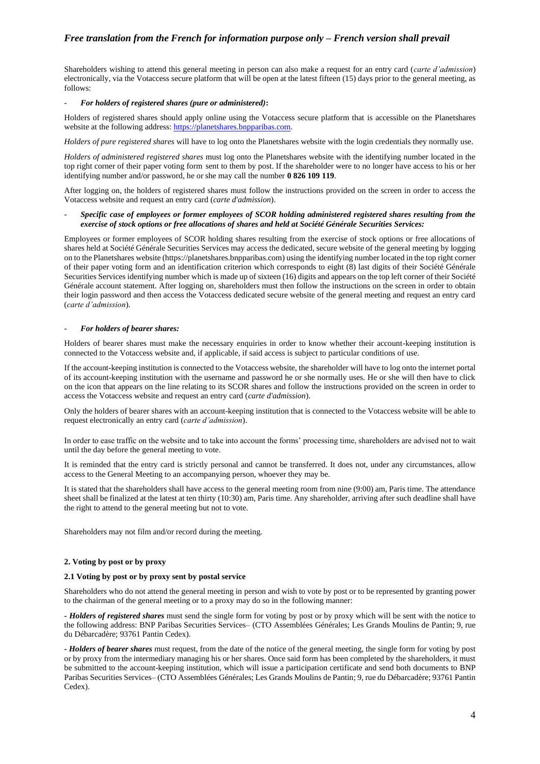Shareholders wishing to attend this general meeting in person can also make a request for an entry card (*carte d'admission*) electronically, via the Votaccess secure platform that will be open at the latest fifteen (15) days prior to the general meeting, as follows:

## - *For holders of registered shares (pure or administered)***:**

Holders of registered shares should apply online using the Votaccess secure platform that is accessible on the Planetshares website at the following address[: https://planetshares.bnpparibas.com.](https://planetshares.bnpparibas.com/)

*Holders of pure registered shares* will have to log onto the Planetshares website with the login credentials they normally use.

*Holders of administered registered shares* must log onto the Planetshares website with the identifying number located in the top right corner of their paper voting form sent to them by post. If the shareholder were to no longer have access to his or her identifying number and/or password, he or she may call the number **0 826 109 119**.

After logging on, the holders of registered shares must follow the instructions provided on the screen in order to access the Votaccess website and request an entry card (*carte d'admission*).

# - *Specific case of employees or former employees of SCOR holding administered registered shares resulting from the exercise of stock options or free allocations of shares and held at Société Générale Securities Services:*

Employees or former employees of SCOR holding shares resulting from the exercise of stock options or free allocations of shares held at Société Générale Securities Services may access the dedicated, secure website of the general meeting by logging on to the Planetshares website [\(https://planetshares.bnpparibas.com\)](https://planetshares.bnpparibas.com/) using the identifying number located in the top right corner of their paper voting form and an identification criterion which corresponds to eight (8) last digits of their Société Générale Securities Services identifying number which is made up of sixteen (16) digits and appears on the top left corner of their Société Générale account statement. After logging on, shareholders must then follow the instructions on the screen in order to obtain their login password and then access the Votaccess dedicated secure website of the general meeting and request an entry card (*carte d'admission*).

#### - *For holders of bearer shares:*

Holders of bearer shares must make the necessary enquiries in order to know whether their account-keeping institution is connected to the Votaccess website and, if applicable, if said access is subject to particular conditions of use.

If the account-keeping institution is connected to the Votaccess website, the shareholder will have to log onto the internet portal of its account-keeping institution with the username and password he or she normally uses. He or she will then have to click on the icon that appears on the line relating to its SCOR shares and follow the instructions provided on the screen in order to access the Votaccess website and request an entry card (*carte d'admission*).

Only the holders of bearer shares with an account-keeping institution that is connected to the Votaccess website will be able to request electronically an entry card (*carte d'admission*).

In order to ease traffic on the website and to take into account the forms' processing time, shareholders are advised not to wait until the day before the general meeting to vote.

It is reminded that the entry card is strictly personal and cannot be transferred. It does not, under any circumstances, allow access to the General Meeting to an accompanying person, whoever they may be.

It is stated that the shareholders shall have access to the general meeting room from nine (9:00) am, Paris time. The attendance sheet shall be finalized at the latest at ten thirty (10:30) am, Paris time. Any shareholder, arriving after such deadline shall have the right to attend to the general meeting but not to vote.

Shareholders may not film and/or record during the meeting.

# **2. Voting by post or by proxy**

## **2.1 Voting by post or by proxy sent by postal service**

Shareholders who do not attend the general meeting in person and wish to vote by post or to be represented by granting power to the chairman of the general meeting or to a proxy may do so in the following manner:

**-** *Holders of registered shares* must send the single form for voting by post or by proxy which will be sent with the notice to the following address: BNP Paribas Securities Services– (CTO Assemblées Générales; Les Grands Moulins de Pantin; 9, rue du Débarcadère; 93761 Pantin Cedex).

**-** *Holders of bearer shares* must request, from the date of the notice of the general meeting, the single form for voting by post or by proxy from the intermediary managing his or her shares. Once said form has been completed by the shareholders, it must be submitted to the account-keeping institution, which will issue a participation certificate and send both documents to BNP Paribas Securities Services– (CTO Assemblées Générales; Les Grands Moulins de Pantin; 9, rue du Débarcadère; 93761 Pantin Cedex).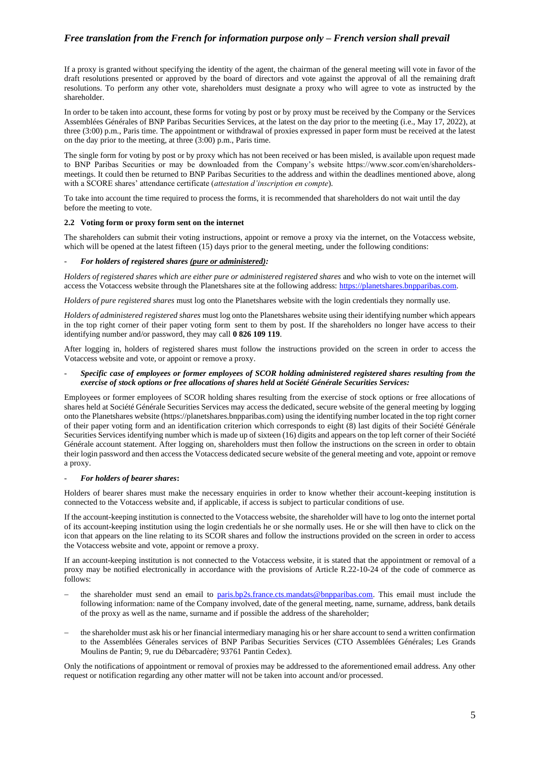If a proxy is granted without specifying the identity of the agent, the chairman of the general meeting will vote in favor of the draft resolutions presented or approved by the board of directors and vote against the approval of all the remaining draft resolutions. To perform any other vote, shareholders must designate a proxy who will agree to vote as instructed by the shareholder.

In order to be taken into account, these forms for voting by post or by proxy must be received by the Company or the Services Assemblées Générales of BNP Paribas Securities Services, at the latest on the day prior to the meeting (i.e., May 17, 2022), at three (3:00) p.m., Paris time. The appointment or withdrawal of proxies expressed in paper form must be received at the latest on the day prior to the meeting, at three (3:00) p.m., Paris time.

The single form for voting by post or by proxy which has not been received or has been misled, is available upon request made to BNP Paribas Securities or may be downloaded from the Company's website https://www.scor.com/en/shareholdersmeetings. It could then be returned to BNP Paribas Securities to the address and within the deadlines mentioned above, along with a SCORE shares' attendance certificate (*attestation d'inscription en compte*).

To take into account the time required to process the forms, it is recommended that shareholders do not wait until the day before the meeting to vote.

#### **2.2 Voting form or proxy form sent on the internet**

The shareholders can submit their voting instructions, appoint or remove a proxy via the internet, on the Votaccess website, which will be opened at the latest fifteen (15) days prior to the general meeting, under the following conditions:

# - *For holders of registered shares (pure or administered):*

*Holders of registered shares which are either pure or administered registered shares* and who wish to vote on the internet will access the Votaccess website through the Planetshares site at the following address: [https://planetshares.bnpparibas.com.](https://planetshares.bnpparibas.com/)

*Holders of pure registered shares* must log onto the Planetshares website with the login credentials they normally use.

*Holders of administered registered shares* must log onto the Planetshares website using their identifying number which appears in the top right corner of their paper voting form sent to them by post. If the shareholders no longer have access to their identifying number and/or password, they may call **0 826 109 119**.

After logging in, holders of registered shares must follow the instructions provided on the screen in order to access the Votaccess website and vote, or appoint or remove a proxy.

## - *Specific case of employees or former employees of SCOR holding administered registered shares resulting from the exercise of stock options or free allocations of shares held at Société Générale Securities Services:*

Employees or former employees of SCOR holding shares resulting from the exercise of stock options or free allocations of shares held at Société Générale Securities Services may access the dedicated, secure website of the general meeting by logging onto the Planetshares website [\(https://planetshares.bnpparibas.com\)](https://planetshares.bnpparibas.com/) using the identifying number located in the top right corner of their paper voting form and an identification criterion which corresponds to eight (8) last digits of their Société Générale Securities Services identifying number which is made up of sixteen (16) digits and appears on the top left corner of their Société Générale account statement. After logging on, shareholders must then follow the instructions on the screen in order to obtain their login password and then access the Votaccess dedicated secure website of the general meeting and vote, appoint or remove a proxy.

#### - *For holders of bearer shares***:**

Holders of bearer shares must make the necessary enquiries in order to know whether their account-keeping institution is connected to the Votaccess website and, if applicable, if access is subject to particular conditions of use.

If the account-keeping institution is connected to the Votaccess website, the shareholder will have to log onto the internet portal of its account-keeping institution using the login credentials he or she normally uses. He or she will then have to click on the icon that appears on the line relating to its SCOR shares and follow the instructions provided on the screen in order to access the Votaccess website and vote, appoint or remove a proxy.

If an account-keeping institution is not connected to the Votaccess website, it is stated that the appointment or removal of a proxy may be notified electronically in accordance with the provisions of Article R.22-10-24 of the code of commerce as follows:

- the shareholder must send an email to [paris.bp2s.france.cts.mandats@bnpparibas.com.](mailto:paris.bp2s.france.cts.mandats@bnpparibas.com) This email must include the following information: name of the Company involved, date of the general meeting, name, surname, address, bank details of the proxy as well as the name, surname and if possible the address of the shareholder;
- − the shareholder must ask his or her financial intermediary managing his or her share account to send a written confirmation to the Assemblées Génerales services of BNP Paribas Securities Services (CTO Assemblées Générales; Les Grands Moulins de Pantin; 9, rue du Débarcadère; 93761 Pantin Cedex).

Only the notifications of appointment or removal of proxies may be addressed to the aforementioned email address. Any other request or notification regarding any other matter will not be taken into account and/or processed.